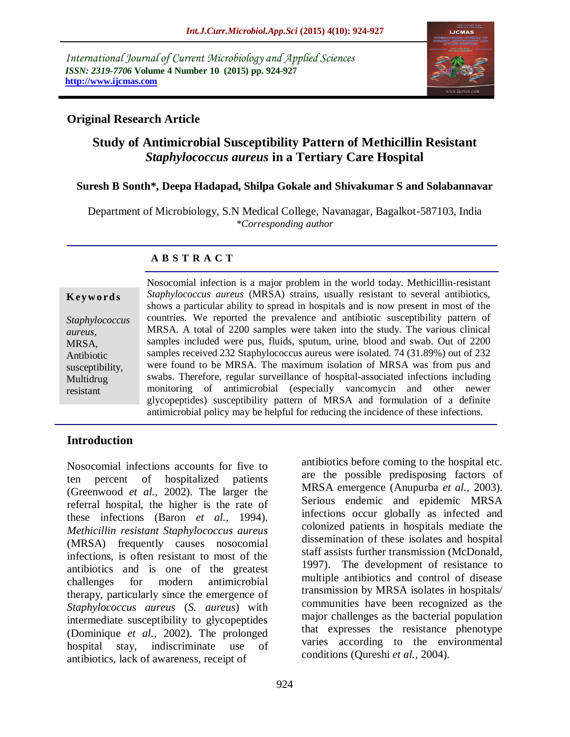*International Journal of Current Microbiology and Applied Sciences ISSN: 2319-7706* **Volume 4 Number 10 (2015) pp. 924-927 http://www.ijcmas.com** 



## **Original Research Article**

# **Study of Antimicrobial Susceptibility Pattern of Methicillin Resistant**  *Staphylococcus aureus* **in a Tertiary Care Hospital**

#### **Suresh B Sonth\*, Deepa Hadapad, Shilpa Gokale and Shivakumar S and Solabannavar**

Department of Microbiology, S.N Medical College, Navanagar, Bagalkot-587103, India *\*Corresponding author*

#### **A B S T R A C T**

#### **K ey w o rd s**

*Staphylococcus aureus*, MRSA, Antibiotic susceptibility, Multidrug resistant

Nosocomial infection is a major problem in the world today. Methicillin-resistant *Staphylococcus aureus* (MRSA) strains, usually resistant to several antibiotics, shows a particular ability to spread in hospitals and is now present in most of the countries. We reported the prevalence and antibiotic susceptibility pattern of MRSA. A total of 2200 samples were taken into the study. The various clinical samples included were pus, fluids, sputum, urine, blood and swab. Out of 2200 samples received 232 Staphylococcus aureus were isolated. 74 (31.89%) out of 232 were found to be MRSA. The maximum isolation of MRSA was from pus and swabs. Therefore, regular surveillance of hospital-associated infections including monitoring of antimicrobial (especially vancomycin and other newer glycopeptides) susceptibility pattern of MRSA and formulation of a definite antimicrobial policy may be helpful for reducing the incidence of these infections.

### **Introduction**

Nosocomial infections accounts for five to ten percent of hospitalized patients (Greenwood *et al.,* 2002). The larger the referral hospital, the higher is the rate of these infections (Baron *et al.,* 1994). *Methicillin resistant Staphylococcus aureus* (MRSA) frequently causes nosocomial infections, is often resistant to most of the antibiotics and is one of the greatest challenges for modern antimicrobial therapy, particularly since the emergence of *Staphylococcus aureus* (*S. aureus*) with intermediate susceptibility to glycopeptides (Dominique *et al.,* 2002). The prolonged hospital stay, indiscriminate use of antibiotics, lack of awareness, receipt of

antibiotics before coming to the hospital etc. are the possible predisposing factors of MRSA emergence (Anupurba *et al.,* 2003). Serious endemic and epidemic MRSA infections occur globally as infected and colonized patients in hospitals mediate the dissemination of these isolates and hospital staff assists further transmission (McDonald, 1997). The development of resistance to multiple antibiotics and control of disease transmission by MRSA isolates in hospitals/ communities have been recognized as the major challenges as the bacterial population that expresses the resistance phenotype varies according to the environmental conditions (Qureshi *et al.,* 2004).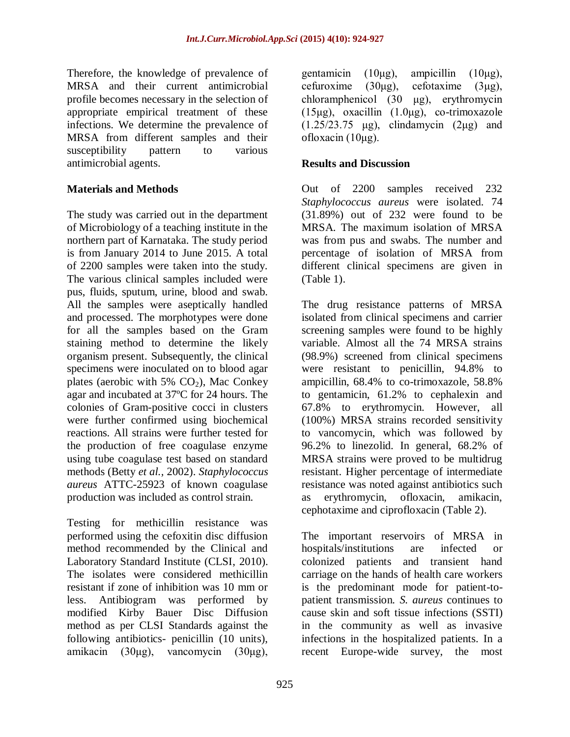Therefore, the knowledge of prevalence of MRSA and their current antimicrobial profile becomes necessary in the selection of appropriate empirical treatment of these infections. We determine the prevalence of MRSA from different samples and their susceptibility pattern to various antimicrobial agents.

### **Materials and Methods**

The study was carried out in the department of Microbiology of a teaching institute in the northern part of Karnataka. The study period is from January 2014 to June 2015. A total of 2200 samples were taken into the study. The various clinical samples included were pus, fluids, sputum, urine, blood and swab. All the samples were aseptically handled and processed. The morphotypes were done for all the samples based on the Gram staining method to determine the likely organism present. Subsequently, the clinical specimens were inoculated on to blood agar plates (aerobic with 5%  $CO<sub>2</sub>$ ), Mac Conkey agar and incubated at 37ºC for 24 hours. The colonies of Gram-positive cocci in clusters were further confirmed using biochemical reactions. All strains were further tested for the production of free coagulase enzyme using tube coagulase test based on standard methods (Betty *et al.,* 2002). *Staphylococcus aureus* ATTC-25923 of known coagulase production was included as control strain.

Testing for methicillin resistance was performed using the cefoxitin disc diffusion method recommended by the Clinical and Laboratory Standard Institute (CLSI, 2010). The isolates were considered methicillin resistant if zone of inhibition was 10 mm or less. Antibiogram was performed by modified Kirby Bauer Disc Diffusion method as per CLSI Standards against the following antibiotics- penicillin (10 units), amikacin (30μg), vancomycin (30μg),

gentamicin (10μg), ampicillin (10μg), cefuroxime (30μg), cefotaxime (3μg), chloramphenicol (30 μg), erythromycin (15μg), oxacillin  $(1.0\mu$ g), co-trimoxazole  $(1.25/23.75 \text{ \mu g})$ , clindamycin  $(2\mu g)$  and ofloxacin (10μg).

### **Results and Discussion**

Out of 2200 samples received 232 *Staphylococcus aureus* were isolated. 74 (31.89%) out of 232 were found to be MRSA. The maximum isolation of MRSA was from pus and swabs. The number and percentage of isolation of MRSA from different clinical specimens are given in (Table 1).

The drug resistance patterns of MRSA isolated from clinical specimens and carrier screening samples were found to be highly variable. Almost all the 74 MRSA strains (98.9%) screened from clinical specimens were resistant to penicillin, 94.8% to ampicillin, 68.4% to co-trimoxazole, 58.8% to gentamicin, 61.2% to cephalexin and 67.8% to erythromycin. However, all (100%) MRSA strains recorded sensitivity to vancomycin, which was followed by 96.2% to linezolid. In general, 68.2% of MRSA strains were proved to be multidrug resistant. Higher percentage of intermediate resistance was noted against antibiotics such as erythromycin, ofloxacin, amikacin, cephotaxime and ciprofloxacin (Table 2).

The important reservoirs of MRSA in hospitals/institutions are infected or colonized patients and transient hand carriage on the hands of health care workers is the predominant mode for patient-topatient transmission*. S. aureus* continues to cause skin and soft tissue infections (SSTI) in the community as well as invasive infections in the hospitalized patients. In a recent Europe-wide survey, the most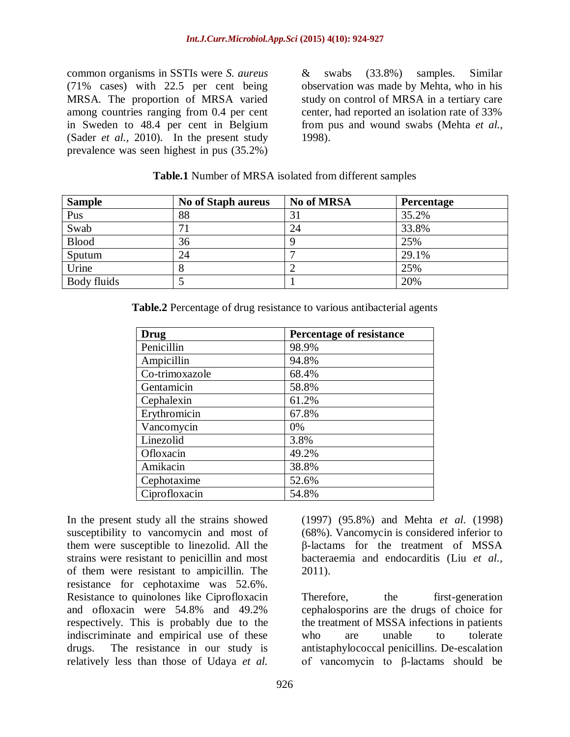common organisms in SSTIs were *S. aureus* (71% cases) with 22.5 per cent being MRSA. The proportion of MRSA varied among countries ranging from 0.4 per cent in Sweden to 48.4 per cent in Belgium (Sader *et al.,* 2010). In the present study prevalence was seen highest in pus (35.2%)

& swabs (33.8%) samples. Similar observation was made by Mehta, who in his study on control of MRSA in a tertiary care center, had reported an isolation rate of 33% from pus and wound swabs (Mehta *et al.,* 1998).

| <b>Sample</b> | <b>No of Staph aureus</b> | No of MRSA | <b>Percentage</b> |
|---------------|---------------------------|------------|-------------------|
| Pus           | 88                        | 31         | 35.2%             |
| Swab          | 71                        | 24         | 33.8%             |
| <b>Blood</b>  | 36                        | 9          | 25%               |
| Sputum        | 24                        |            | 29.1%             |
| Urine         |                           | ∠          | 25%               |
| Body fluids   |                           |            | 20%               |

#### **Table.1** Number of MRSA isolated from different samples

**Table.2** Percentage of drug resistance to various antibacterial agents

| Drug           | <b>Percentage of resistance</b> |  |
|----------------|---------------------------------|--|
| Penicillin     | 98.9%                           |  |
| Ampicillin     | 94.8%                           |  |
| Co-trimoxazole | 68.4%                           |  |
| Gentamicin     | 58.8%                           |  |
| Cephalexin     | 61.2%                           |  |
| Erythromicin   | 67.8%                           |  |
| Vancomycin     | 0%                              |  |
| Linezolid      | 3.8%                            |  |
| Ofloxacin      | 49.2%                           |  |
| Amikacin       | 38.8%                           |  |
| Cephotaxime    | 52.6%                           |  |
| Ciprofloxacin  | 54.8%                           |  |

In the present study all the strains showed susceptibility to vancomycin and most of them were susceptible to linezolid. All the strains were resistant to penicillin and most of them were resistant to ampicillin. The resistance for cephotaxime was 52.6%. Resistance to quinolones like Ciprofloxacin and ofloxacin were 54.8% and 49.2% respectively. This is probably due to the indiscriminate and empirical use of these drugs. The resistance in our study is relatively less than those of Udaya *et al.* 

(1997) (95.8%) and Mehta *et al.* (1998) (68%). Vancomycin is considered inferior to β-lactams for the treatment of MSSA bacteraemia and endocarditis (Liu *et al.,* 2011).

Therefore, the first-generation cephalosporins are the drugs of choice for the treatment of MSSA infections in patients who are unable to tolerate antistaphylococcal penicillins. De-escalation of vancomycin to β-lactams should be